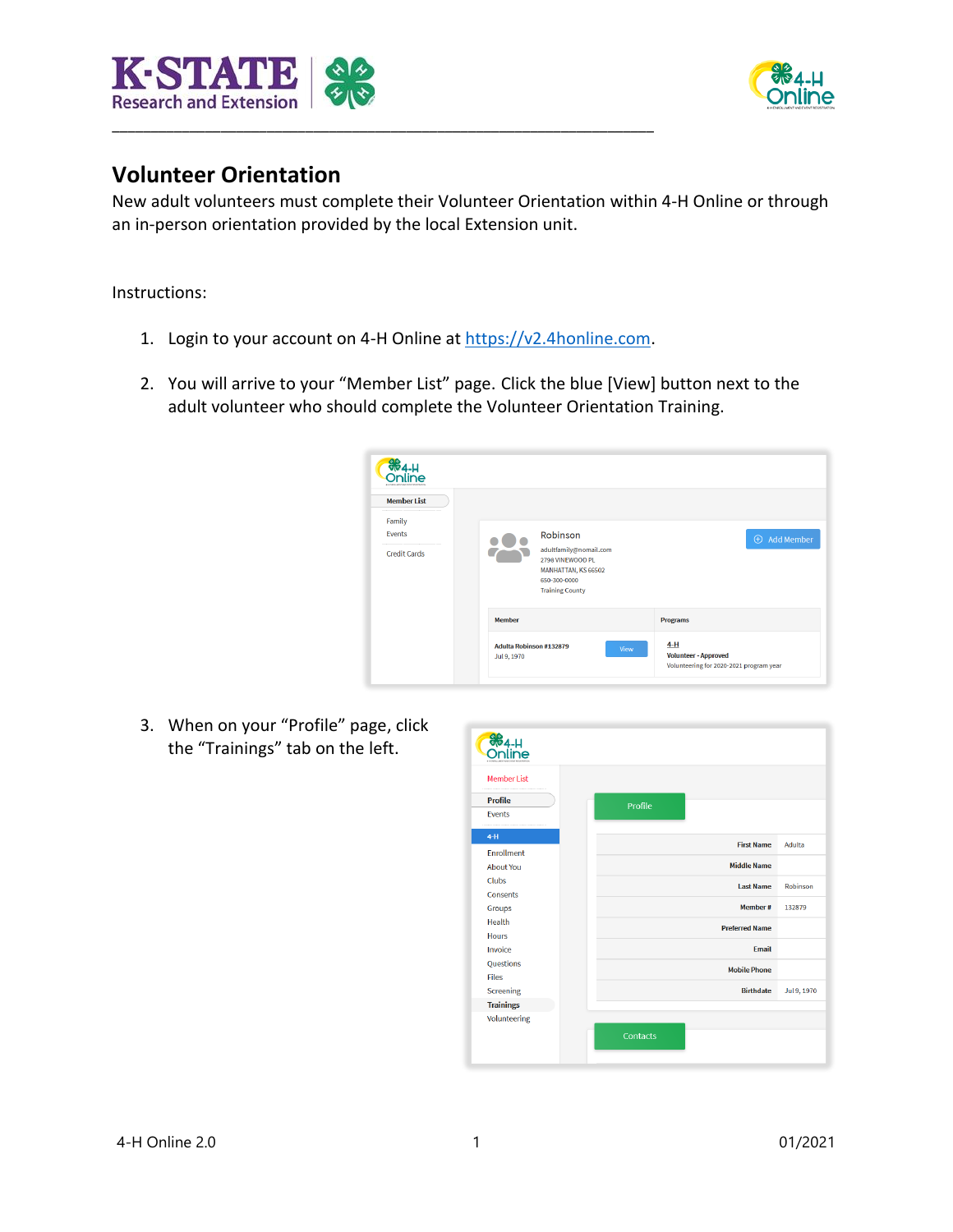



## **Volunteer Orientation**

New adult volunteers must complete their Volunteer Orientation within 4-H Online or through an in-person orientation provided by the local Extension unit.

Instructions:

- 1. Login to your account on 4-H Online at [https://v2.4honline.com.](https://v2.4honline.com/)
- 2. You will arrive to your "Member List" page. Click the blue [View] button next to the adult volunteer who should complete the Volunteer Orientation Training.



3. When on your "Profile" page, click the "Trainings" tab on the left.

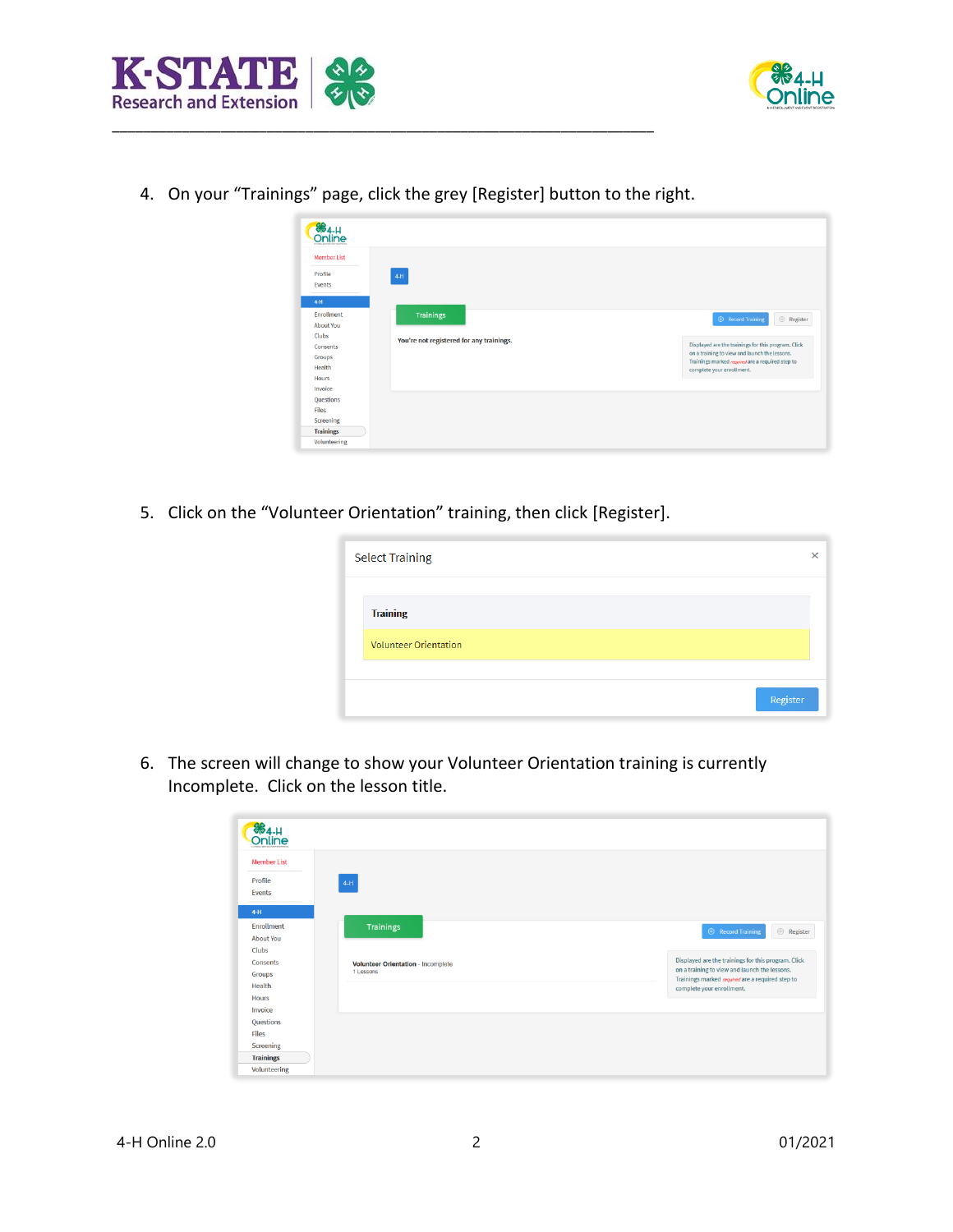



4. On your "Trainings" page, click the grey [Register] button to the right.

\_\_\_\_\_\_\_\_\_\_\_\_\_\_\_\_\_\_\_\_\_\_\_\_\_\_\_\_\_\_\_\_\_\_\_\_\_\_\_\_\_\_\_\_\_\_\_\_\_\_\_\_\_\_\_\_\_\_\_\_\_\_\_\_\_\_\_\_\_\_

| <b>Member List</b><br>Profile<br>Events | $4-H$                                    |                                                                                                   |
|-----------------------------------------|------------------------------------------|---------------------------------------------------------------------------------------------------|
|                                         |                                          |                                                                                                   |
|                                         |                                          |                                                                                                   |
|                                         |                                          |                                                                                                   |
| $4-H$                                   |                                          |                                                                                                   |
| Enrollment                              | <b>Trainings</b>                         |                                                                                                   |
| <b>About You</b>                        |                                          | $\quad \oplus \quad$ Register<br><b>E</b> Record Training                                         |
| Clubs                                   | You're not registered for any trainings. |                                                                                                   |
| Consents                                |                                          | Displayed are the trainings for this program. Click                                               |
| Groups                                  |                                          | on a training to view and launch the lessons.<br>Trainings marked required are a required step to |
| Health                                  |                                          | complete your enrollment.                                                                         |
| Hours                                   |                                          |                                                                                                   |
| Invoice                                 |                                          |                                                                                                   |
| Questions                               |                                          |                                                                                                   |
| <b>Files</b>                            |                                          |                                                                                                   |
| Screening                               |                                          |                                                                                                   |

5. Click on the "Volunteer Orientation" training, then click [Register].

| <b>Select Training</b>       | × |
|------------------------------|---|
| <b>Training</b>              |   |
| <b>Volunteer Orientation</b> |   |
| Register                     |   |

6. The screen will change to show your Volunteer Orientation training is currently Incomplete. Click on the lesson title.

| 884-H<br>Online    |                                    |                                                                                                   |
|--------------------|------------------------------------|---------------------------------------------------------------------------------------------------|
| <b>Member List</b> |                                    |                                                                                                   |
| Profile            | $4-H$                              |                                                                                                   |
| Events             |                                    |                                                                                                   |
| $4-H$              |                                    |                                                                                                   |
| Enrollment         | Trainings                          | $\oplus$ Record Training<br>$\oplus$ Register                                                     |
| <b>About You</b>   |                                    |                                                                                                   |
| Clubs              |                                    |                                                                                                   |
| Consents           | Volunteer Orientation - Incomplete | Displayed are the trainings for this program. Click                                               |
| Groups             | 1 Lessons                          | on a training to view and launch the lessons.<br>Trainings marked required are a required step to |
| Health             |                                    | complete your enrollment.                                                                         |
| <b>Hours</b>       |                                    |                                                                                                   |
| Invoice            |                                    |                                                                                                   |
| Questions          |                                    |                                                                                                   |
| <b>Files</b>       |                                    |                                                                                                   |
| Screening          |                                    |                                                                                                   |
| <b>Trainings</b>   |                                    |                                                                                                   |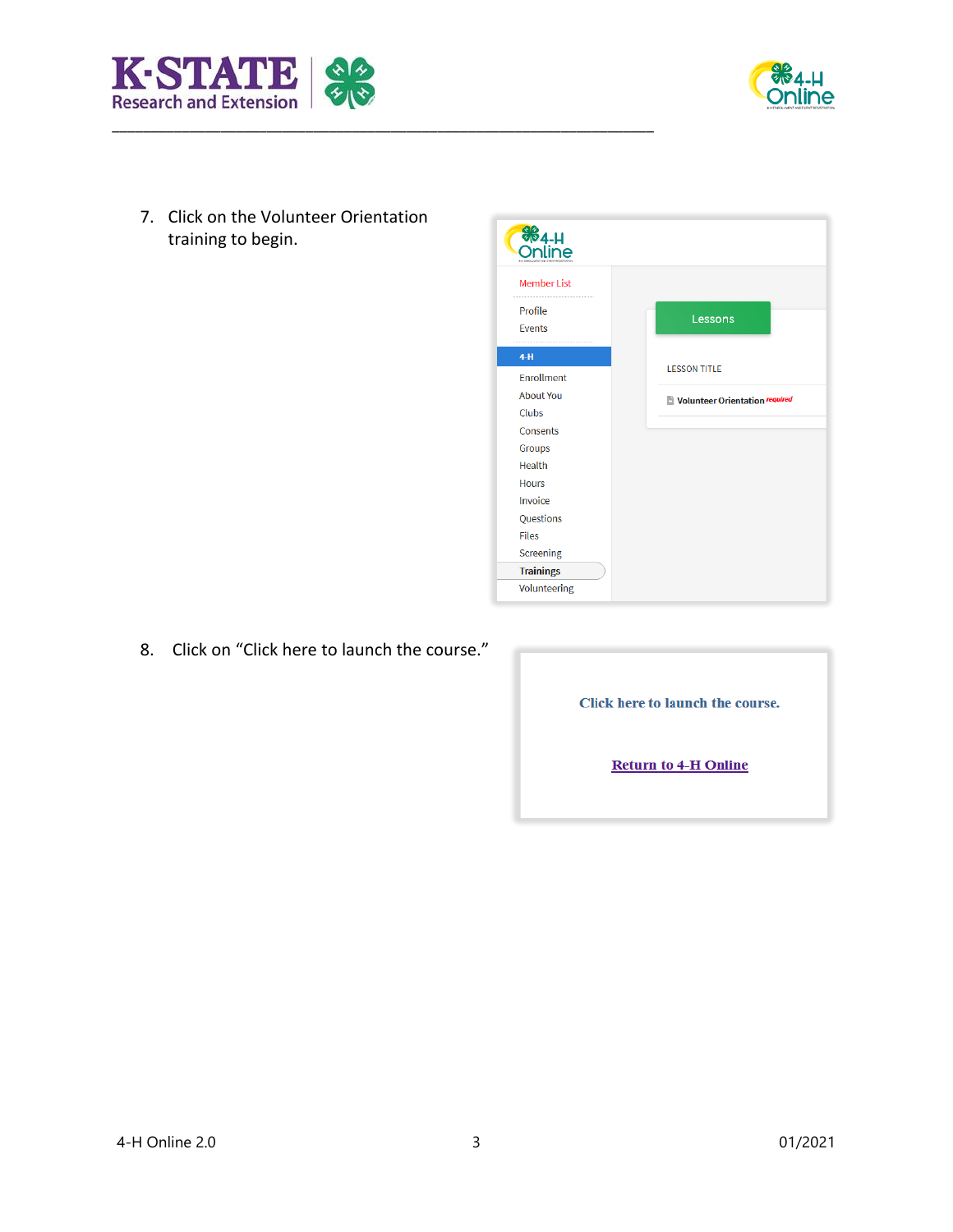



7. Click on the Volunteer Orientation training to begin.



8. Click on "Click here to launch the course."

| Click here to launch the course. |  |
|----------------------------------|--|
| <b>Return to 4-H Online</b>      |  |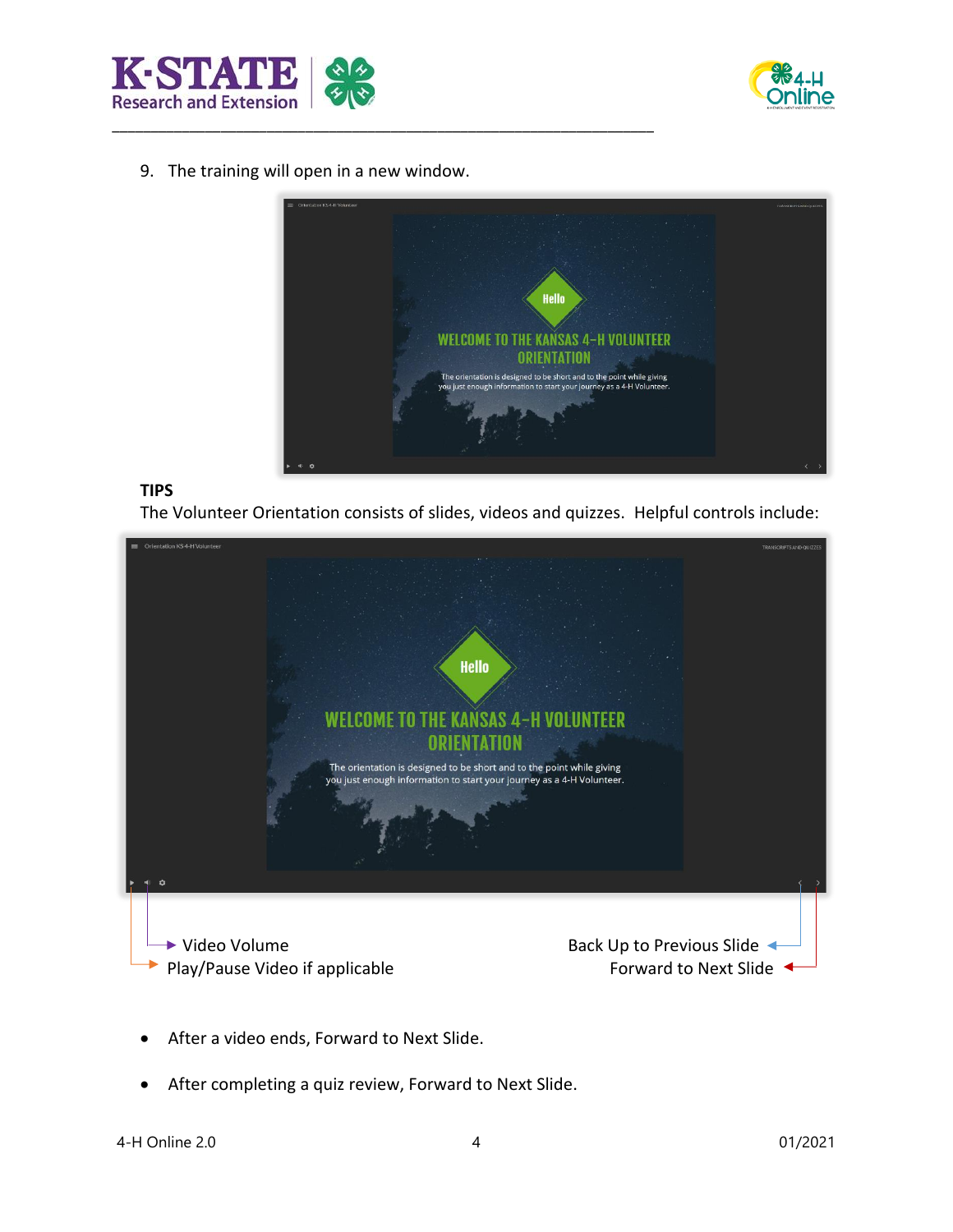



9. The training will open in a new window.

\_\_\_\_\_\_\_\_\_\_\_\_\_\_\_\_\_\_\_\_\_\_\_\_\_\_\_\_\_\_\_\_\_\_\_\_\_\_\_\_\_\_\_\_\_\_\_\_\_\_\_\_\_\_\_\_\_\_\_\_\_\_\_\_\_\_\_\_\_\_



## **TIPS**

The Volunteer Orientation consists of slides, videos and quizzes. Helpful controls include:



- After a video ends, Forward to Next Slide.
- After completing a quiz review, Forward to Next Slide.